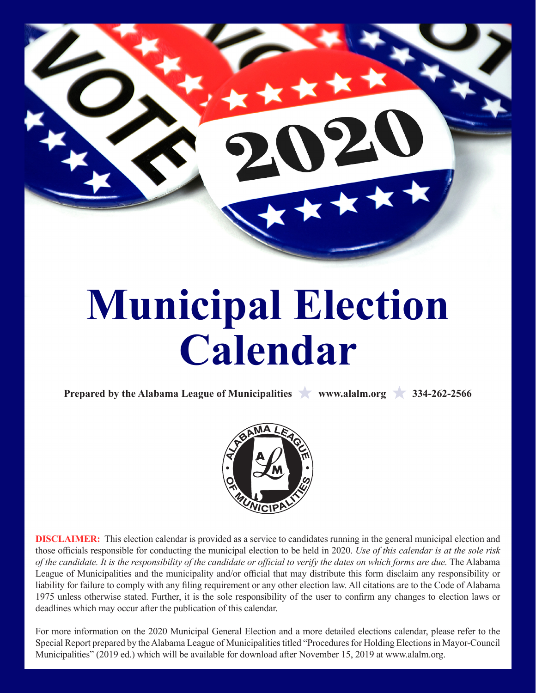

# **Municipal Election Calendar**

**Prepared by the Alabama League of Municipalities www.alalm.org 334-262-2566** 



**DISCLAIMER:** This election calendar is provided as a service to candidates running in the general municipal election and those officials responsible for conducting the municipal election to be held in 2020. *Use of this calendar is at the sole risk of the candidate. It is the responsibility of the candidate or official to verify the dates on which forms are due.* The Alabama League of Municipalities and the municipality and/or official that may distribute this form disclaim any responsibility or liability for failure to comply with any filing requirement or any other election law. All citations are to the Code of Alabama 1975 unless otherwise stated. Further, it is the sole responsibility of the user to confirm any changes to election laws or deadlines which may occur after the publication of this calendar.

For more information on the 2020 Municipal General Election and a more detailed elections calendar, please refer to the Special Report prepared by the Alabama League of Municipalities titled "Procedures for Holding Elections in Mayor-Council Municipalities" (2019 ed.) which will be available for download after November 15, 2019 at www.alalm.org.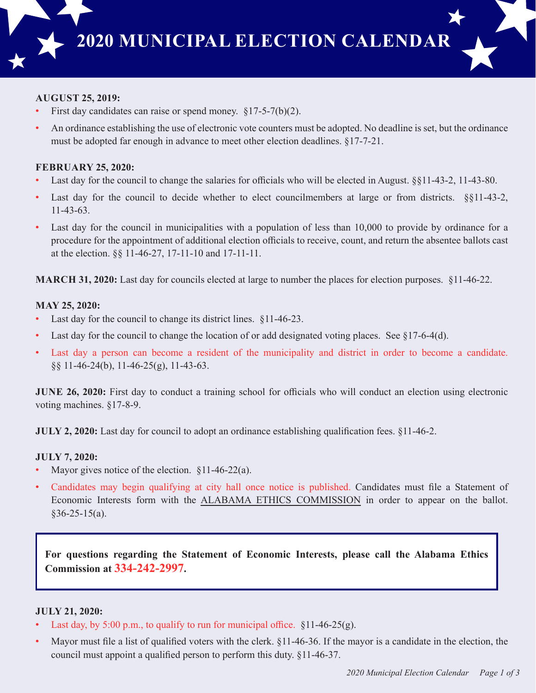

# **AUGUST 25, 2019:**

- First day candidates can raise or spend money.  $§17-5-7(b)(2)$ .
- An ordinance establishing the use of electronic vote counters must be adopted. No deadline is set, but the ordinance must be adopted far enough in advance to meet other election deadlines. §17-7-21.

#### **FEBRUARY 25, 2020:**

- Last day for the council to change the salaries for officials who will be elected in August. §§11-43-2, 11-43-80.
- Last day for the council to decide whether to elect councilmembers at large or from districts. §§11-43-2, 11-43-63.
- Last day for the council in municipalities with a population of less than 10,000 to provide by ordinance for a procedure for the appointment of additional election officials to receive, count, and return the absentee ballots cast at the election. §§ 11-46-27, 17-11-10 and 17-11-11.

**MARCH 31, 2020:** Last day for councils elected at large to number the places for election purposes. §11-46-22.

#### **MAY 25, 2020:**

- Last day for the council to change its district lines. §11-46-23.
- Last day for the council to change the location of or add designated voting places. See  $\S17-6-4(d)$ .
- Last day a person can become a resident of the municipality and district in order to become a candidate. §§ 11-46-24(b), 11-46-25(g), 11-43-63.

**JUNE 26, 2020:** First day to conduct a training school for officials who will conduct an election using electronic voting machines. §17-8-9.

**JULY 2, 2020:** Last day for council to adopt an ordinance establishing qualification fees. §11-46-2.

# **JULY 7, 2020:**

- Mayor gives notice of the election.  $§11-46-22(a)$ .
- Candidates may begin qualifying at city hall once notice is published. Candidates must file a Statement of Economic Interests form with the ALABAMA ETHICS COMMISSION in order to appear on the ballot.  $§$ 36-25-15(a).

**For questions regarding the Statement of Economic Interests, please call the Alabama Ethics Commission at 334-242-2997.**

# **JULY 21, 2020:**

- Last day, by 5:00 p.m., to qualify to run for municipal office.  $§11-46-25(g)$ .
- Mayor must file a list of qualified voters with the clerk. §11-46-36. If the mayor is a candidate in the election, the council must appoint a qualified person to perform this duty. §11-46-37.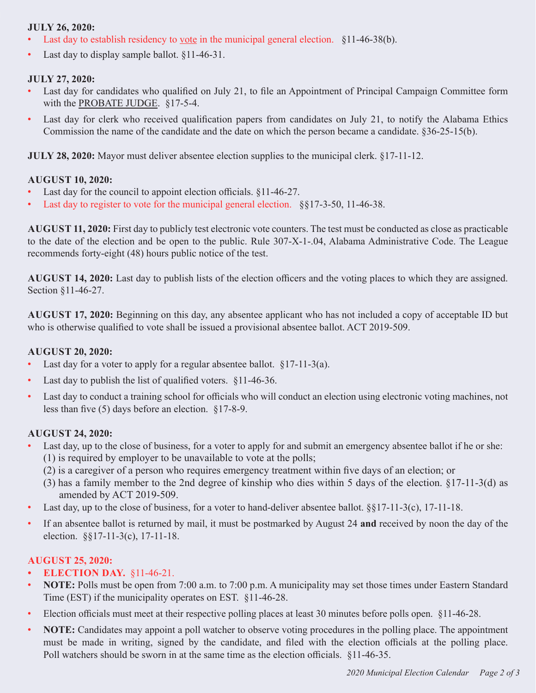## **JULY 26, 2020:**

- Last day to establish residency to <u>vote</u> in the municipal general election. §11-46-38(b).
- Last day to display sample ballot.  $§11-46-31$ .

#### **JULY 27, 2020:**

- Last day for candidates who qualified on July 21, to file an Appointment of Principal Campaign Committee form with the PROBATE JUDGE. §17-5-4.
- Last day for clerk who received qualification papers from candidates on July 21, to notify the Alabama Ethics Commission the name of the candidate and the date on which the person became a candidate. §36-25-15(b).

**JULY 28, 2020:** Mayor must deliver absentee election supplies to the municipal clerk. §17-11-12.

#### **AUGUST 10, 2020:**

- Last day for the council to appoint election officials. §11-46-27.
- Last day to register to vote for the municipal general election. §§17-3-50, 11-46-38.

**AUGUST 11, 2020:** First day to publicly test electronic vote counters. The test must be conducted as close as practicable to the date of the election and be open to the public. Rule 307-X-1-.04, Alabama Administrative Code. The League recommends forty-eight (48) hours public notice of the test.

**AUGUST 14, 2020:** Last day to publish lists of the election officers and the voting places to which they are assigned. Section §11-46-27.

**AUGUST 17, 2020:** Beginning on this day, any absentee applicant who has not included a copy of acceptable ID but who is otherwise qualified to vote shall be issued a provisional absentee ballot. ACT 2019-509.

#### **AUGUST 20, 2020:**

- Last day for a voter to apply for a regular absentee ballot. §17-11-3(a).
- Last day to publish the list of qualified voters. §11-46-36.
- Last day to conduct a training school for officials who will conduct an election using electronic voting machines, not less than five (5) days before an election. §17-8-9.

#### **AUGUST 24, 2020:**

- Last day, up to the close of business, for a voter to apply for and submit an emergency absentee ballot if he or she: (1) is required by employer to be unavailable to vote at the polls;
	- (2) is a caregiver of a person who requires emergency treatment within five days of an election; or
	- (3) has a family member to the 2nd degree of kinship who dies within 5 days of the election. §17-11-3(d) as amended by ACT 2019-509.
- Last day, up to the close of business, for a voter to hand-deliver absentee ballot.  $\S$ §17-11-3(c), 17-11-18.
- If an absentee ballot is returned by mail, it must be postmarked by August 24 **and** received by noon the day of the election. §§17-11-3(c), 17-11-18.

#### **AUGUST 25, 2020:**

- **• ELECTION DAY.** §11-46-21.
- **NOTE:** Polls must be open from 7:00 a.m. to 7:00 p.m. A municipality may set those times under Eastern Standard Time (EST) if the municipality operates on EST. §11-46-28.
- Election officials must meet at their respective polling places at least 30 minutes before polls open. §11-46-28.
- **NOTE:** Candidates may appoint a poll watcher to observe voting procedures in the polling place. The appointment must be made in writing, signed by the candidate, and filed with the election officials at the polling place. Poll watchers should be sworn in at the same time as the election officials. §11-46-35.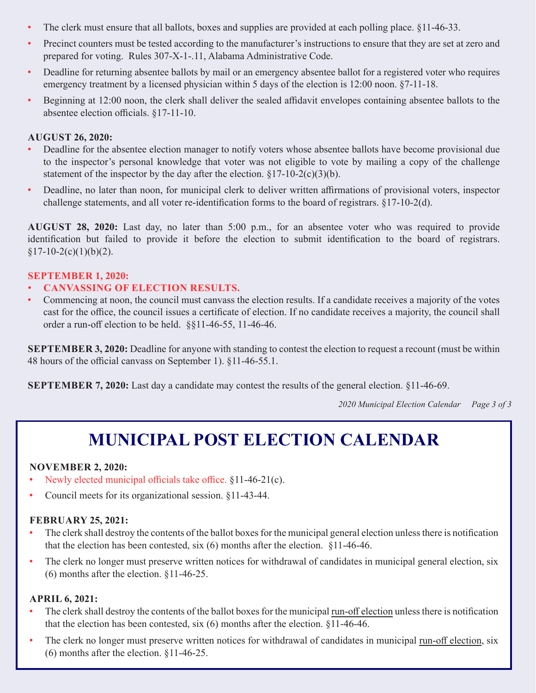- The clerk must ensure that all ballots, boxes and supplies are provided at each polling place. §11-46-33.
- Precinct counters must be tested according to the manufacturer's instructions to ensure that they are set at zero and prepared for voting. Rules 307-X-1-.11, Alabama Administrative Code.
- Deadline for returning absentee ballots by mail or an emergency absentee ballot for a registered voter who requires emergency treatment by a licensed physician within 5 days of the election is 12:00 noon. §7-11-18.
- Beginning at 12:00 noon, the clerk shall deliver the sealed affidavit envelopes containing absentee ballots to the absentee election officials. §17-11-10.

## **AUGUST 26, 2020:**

- Deadline for the absentee election manager to notify voters whose absentee ballots have become provisional due to the inspector's personal knowledge that voter was not eligible to vote by mailing a copy of the challenge statement of the inspector by the day after the election.  $\S 17-10-2(c)(3)(b)$ .
- Deadline, no later than noon, for municipal clerk to deliver written affirmations of provisional voters, inspector challenge statements, and all voter re-identification forms to the board of registrars. §17-10-2(d).

**AUGUST 28, 2020:** Last day, no later than 5:00 p.m., for an absentee voter who was required to provide identification but failed to provide it before the election to submit identification to the board of registrars.  $§17-10-2(c)(1)(b)(2).$ 

#### **SEPTEMBER 1, 2020:**

- **CANVASSING OF ELECTION RESULTS.**
- Commencing at noon, the council must canvass the election results. If a candidate receives a majority of the votes cast for the office, the council issues a certificate of election. If no candidate receives a majority, the council shall order a run-off election to be held. §§11-46-55, 11-46-46.

**SEPTEMBER 3, 2020:** Deadline for anyone with standing to contest the election to request a recount (must be within 48 hours of the official canvass on September 1). §11-46-55.1.

**SEPTEMBER 7, 2020:** Last day a candidate may contest the results of the general election. §11-46-69.

*2020 Municipal Election Calendar Page 3 of 3*

# **MUNICIPAL POST ELECTION CALENDAR**

#### **NOVEMBER 2, 2020:**

- Newly elected municipal officials take office. §11-46-21(c).
- Council meets for its organizational session. §11-43-44.

#### **FEBRUARY 25, 2021:**

- The clerk shall destroy the contents of the ballot boxes for the municipal general election unless there is notification that the election has been contested, six (6) months after the election. §11-46-46.
- The clerk no longer must preserve written notices for withdrawal of candidates in municipal general election, six (6) months after the election. §11-46-25.

#### **APRIL 6, 2021:**

- The clerk shall destroy the contents of the ballot boxes for the municipal run-off election unless there is notification that the election has been contested, six (6) months after the election. §11-46-46.
- The clerk no longer must preserve written notices for withdrawal of candidates in municipal run-off election, six (6) months after the election. §11-46-25.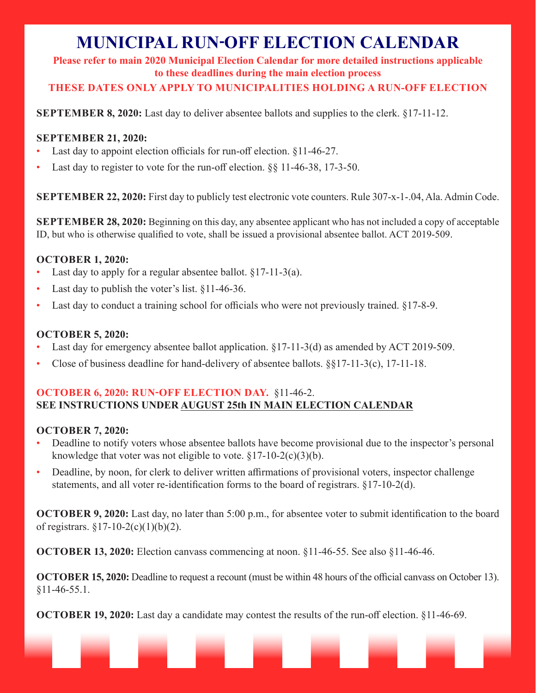# **MUNICIPAL RUN-OFF ELECTION CALENDAR**

**Please refer to main 2020 Municipal Election Calendar for more detailed instructions applicable to these deadlines during the main election process**

**THESE DATES ONLY APPLY TO MUNICIPALITIES HOLDING A RUN-OFF ELECTION**

**SEPTEMBER 8, 2020:** Last day to deliver absentee ballots and supplies to the clerk. §17-11-12.

# **SEPTEMBER 21, 2020:**

- Last day to appoint election officials for run-off election. §11-46-27.
- Last day to register to vote for the run-off election.  $\S$ § 11-46-38, 17-3-50.

**SEPTEMBER 22, 2020:** First day to publicly test electronic vote counters. Rule 307-x-1-.04, Ala. Admin Code.

**SEPTEMBER 28, 2020:** Beginning on this day, any absentee applicant who has not included a copy of acceptable ID, but who is otherwise qualified to vote, shall be issued a provisional absentee ballot. ACT 2019-509.

# **OCTOBER 1, 2020:**

- Last day to apply for a regular absentee ballot.  $\S 17$ -11-3(a).
- Last day to publish the voter's list.  $§11-46-36$ .
- Last day to conduct a training school for officials who were not previously trained.  $§17-8-9$ .

# **OCTOBER 5, 2020:**

- Last day for emergency absentee ballot application.  $\S17-11-3(d)$  as amended by ACT 2019-509.
- Close of business deadline for hand-delivery of absentee ballots. §§17-11-3(c), 17-11-18.

# **OCTOBER 6, 2020: RUN-OFF ELECTION DAY.** §11-46-2. **SEE INSTRUCTIONS UNDER AUGUST 25th IN MAIN ELECTION CALENDAR**

# **OCTOBER 7, 2020:**

- Deadline to notify voters whose absentee ballots have become provisional due to the inspector's personal knowledge that voter was not eligible to vote.  $\S 17-10-2(c)(3)(b)$ .
- Deadline, by noon, for clerk to deliver written affirmations of provisional voters, inspector challenge statements, and all voter re-identification forms to the board of registrars. §17-10-2(d).

**OCTOBER 9, 2020:** Last day, no later than 5:00 p.m., for absentee voter to submit identification to the board of registrars.  $\S 17 - 10 - 2(c)(1)(b)(2)$ .

**OCTOBER 13, 2020:** Election canvass commencing at noon. §11-46-55. See also §11-46-46.

**OCTOBER 15, 2020:** Deadline to request a recount (must be within 48 hours of the official canvass on October 13). §11-46-55.1.

**OCTOBER 19, 2020:** Last day a candidate may contest the results of the run-off election. §11-46-69.